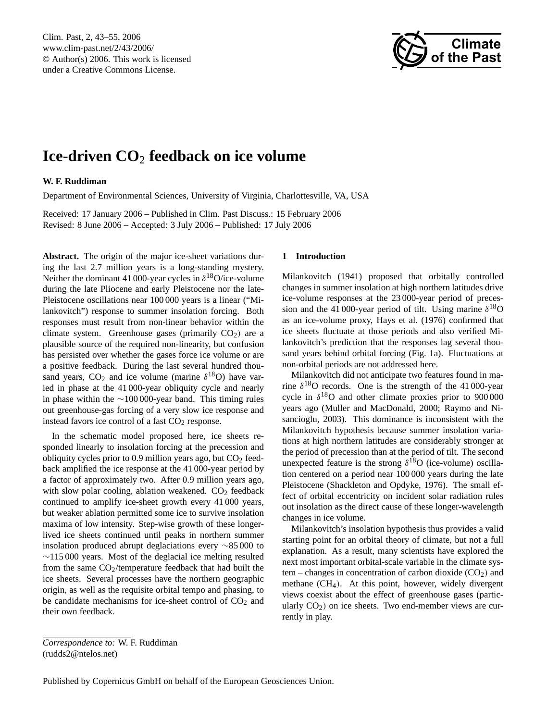Clim. Past, 2, 43[–55,](#page-0-0) 2006 www.clim-past.net/2/43/2006/ © Author(s) 2006. This work is licensed under a Creative Commons License.



# **Ice-driven CO**<sup>2</sup> **feedback on ice volume**

# **W. F. Ruddiman**

Department of Environmental Sciences, University of Virginia, Charlottesville, VA, USA

Received: 17 January 2006 – Published in Clim. Past Discuss.: 15 February 2006 Revised: 8 June 2006 – Accepted: 3 July 2006 – Published: 17 July 2006

**Abstract.** The origin of the major ice-sheet variations during the last 2.7 million years is a long-standing mystery. Neither the dominant 41 000-year cycles in  $\delta^{18}$ O/ice-volume during the late Pliocene and early Pleistocene nor the late-Pleistocene oscillations near 100 000 years is a linear ("Milankovitch") response to summer insolation forcing. Both responses must result from non-linear behavior within the climate system. Greenhouse gases (primarily  $CO<sub>2</sub>$ ) are a plausible source of the required non-linearity, but confusion has persisted over whether the gases force ice volume or are a positive feedback. During the last several hundred thousand years,  $CO_2$  and ice volume (marine  $\delta^{18}O$ ) have varied in phase at the 41 000-year obliquity cycle and nearly in phase within the ∼100 000-year band. This timing rules out greenhouse-gas forcing of a very slow ice response and instead favors ice control of a fast  $CO<sub>2</sub>$  response.

In the schematic model proposed here, ice sheets responded linearly to insolation forcing at the precession and obliquity cycles prior to 0.9 million years ago, but  $CO<sub>2</sub>$  feedback amplified the ice response at the 41 000-year period by a factor of approximately two. After 0.9 million years ago, with slow polar cooling, ablation weakened.  $CO<sub>2</sub>$  feedback continued to amplify ice-sheet growth every 41 000 years, but weaker ablation permitted some ice to survive insolation maxima of low intensity. Step-wise growth of these longerlived ice sheets continued until peaks in northern summer insolation produced abrupt deglaciations every ∼85 000 to  $\sim$ 115 000 years. Most of the deglacial ice melting resulted from the same  $CO_2$ /temperature feedback that had built the ice sheets. Several processes have the northern geographic origin, as well as the requisite orbital tempo and phasing, to be candidate mechanisms for ice-sheet control of  $CO<sub>2</sub>$  and their own feedback.

#### **1 Introduction**

Milankovitch (1941) proposed that orbitally controlled changes in summer insolation at high northern latitudes drive ice-volume responses at the 23 000-year period of precession and the 41 000-year period of tilt. Using marine  $\delta^{18}O$ as an ice-volume proxy, Hays et al. (1976) confirmed that ice sheets fluctuate at those periods and also verified Milankovitch's prediction that the responses lag several thousand years behind orbital forcing (Fig. 1a). Fluctuations at non-orbital periods are not addressed here.

Milankovitch did not anticipate two features found in marine  $\delta^{18}$ O records. One is the strength of the 41 000-year cycle in  $\delta^{18}$ O and other climate proxies prior to 900 000 years ago (Muller and MacDonald, 2000; Raymo and Nisancioglu, 2003). This dominance is inconsistent with the Milankovitch hypothesis because summer insolation variations at high northern latitudes are considerably stronger at the period of precession than at the period of tilt. The second unexpected feature is the strong  $\delta^{18}O$  (ice-volume) oscillation centered on a period near 100 000 years during the late Pleistocene (Shackleton and Opdyke, 1976). The small effect of orbital eccentricity on incident solar radiation rules out insolation as the direct cause of these longer-wavelength changes in ice volume.

Milankovitch's insolation hypothesis thus provides a valid starting point for an orbital theory of climate, but not a full explanation. As a result, many scientists have explored the next most important orbital-scale variable in the climate sys $tem$  – changes in concentration of carbon dioxide  $(CO<sub>2</sub>)$  and methane (CH4). At this point, however, widely divergent views coexist about the effect of greenhouse gases (particularly  $CO<sub>2</sub>$ ) on ice sheets. Two end-member views are currently in play.

<span id="page-0-0"></span>*Correspondence to:* W. F. Ruddiman (rudds2@ntelos.net)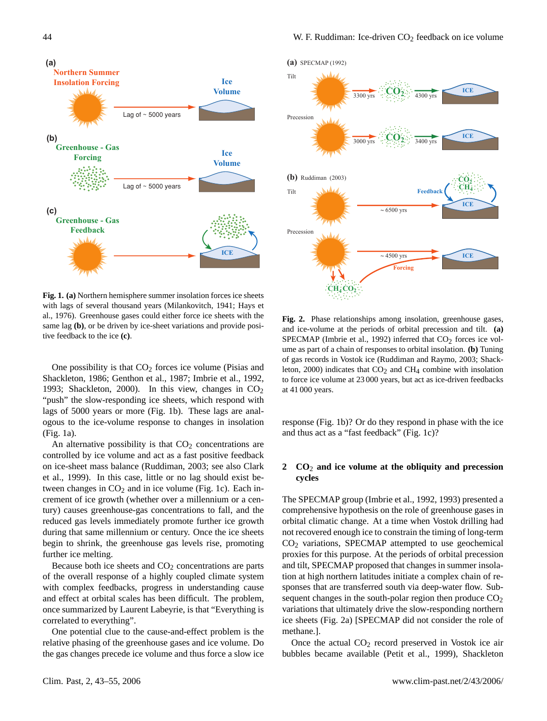

al., 1976). Greenhouse gases could either force ice sheets with the **Fig. 1. (a)** Northern hemisphere summer insolation forces ice sheets with lags of several thousand years (Milankovitch, 1941; Hays et same lag **(b)**, or be driven by ice-sheet variations and provide positive feedback to the ice **(c)**.

One possibility is that  $CO<sub>2</sub>$  forces ice volume (Pisias and Shackleton, 1986; Genthon et al., 1987; Imbrie et al., 1992, 1993; Shackleton, 2000). In this view, changes in  $CO<sub>2</sub>$ "push" the slow-responding ice sheets, which respond with lags of 5000 years or more (Fig. 1b). These lags are analogous to the ice-volume response to changes in insolation (Fig. 1a).

An alternative possibility is that  $CO<sub>2</sub>$  concentrations are controlled by ice volume and act as a fast positive feedback on ice-sheet mass balance (Ruddiman, 2003; see also Clark et al., 1999). In this case, little or no lag should exist between changes in  $CO<sub>2</sub>$  and in ice volume (Fig. 1c). Each increment of ice growth (whether over a millennium or a century) causes greenhouse-gas concentrations to fall, and the reduced gas levels immediately promote further ice growth during that same millennium or century. Once the ice sheets begin to shrink, the greenhouse gas levels rise, promoting further ice melting.

Because both ice sheets and  $CO<sub>2</sub>$  concentrations are parts of the overall response of a highly coupled climate system with complex feedbacks, progress in understanding cause and effect at orbital scales has been difficult. The problem, once summarized by Laurent Labeyrie, is that "Everything is correlated to everything".

One potential clue to the cause-and-effect problem is the relative phasing of the greenhouse gases and ice volume. Do the gas changes precede ice volume and thus force a slow ice



Fig. 2 **Fig. 2.** Phase relationships among insolation, greenhouse gases, and ice-volume at the periods of orbital precession and tilt. **(a)** SPECMAP (Imbrie et al., 1992) inferred that  $CO<sub>2</sub>$  forces ice volume as part of a chain of responses to orbital insolation. **(b)** Tuning of gas records in Vostok ice (Ruddiman and Raymo, 2003; Shackleton, 2000) indicates that  $CO<sub>2</sub>$  and  $CH<sub>4</sub>$  combine with insolation to force ice volume at 23 000 years, but act as ice-driven feedbacks at 41 000 years.

response (Fig. 1b)? Or do they respond in phase with the ice and thus act as a "fast feedback" (Fig. 1c)?

# **2 CO**<sup>2</sup> **and ice volume at the obliquity and precession cycles**

The SPECMAP group (Imbrie et al., 1992, 1993) presented a comprehensive hypothesis on the role of greenhouse gases in orbital climatic change. At a time when Vostok drilling had not recovered enough ice to constrain the timing of long-term  $CO<sub>2</sub>$  variations, SPECMAP attempted to use geochemical proxies for this purpose. At the periods of orbital precession and tilt, SPECMAP proposed that changes in summer insolation at high northern latitudes initiate a complex chain of responses that are transferred south via deep-water flow. Subsequent changes in the south-polar region then produce  $CO<sub>2</sub>$ variations that ultimately drive the slow-responding northern ice sheets (Fig. 2a) [SPECMAP did not consider the role of methane.].

Once the actual  $CO<sub>2</sub>$  record preserved in Vostok ice air bubbles became available (Petit et al., 1999), Shackleton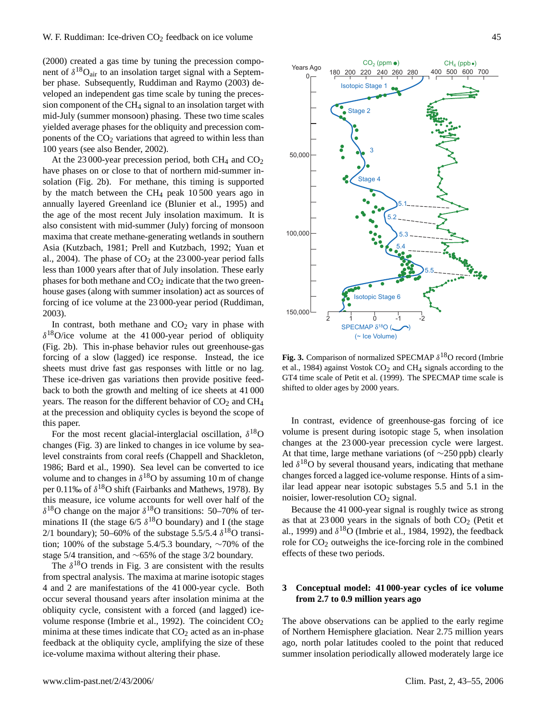(2000) created a gas time by tuning the precession component of  $\delta^{18}O_{air}$  to an insolation target signal with a September phase. Subsequently, Ruddiman and Raymo (2003) developed an independent gas time scale by tuning the precession component of the CH<sup>4</sup> signal to an insolation target with mid-July (summer monsoon) phasing. These two time scales yielded average phases for the obliquity and precession components of the  $CO<sub>2</sub>$  variations that agreed to within less than 100 years (see also Bender, 2002).

At the 23 000-year precession period, both CH<sub>4</sub> and  $CO<sub>2</sub>$ have phases on or close to that of northern mid-summer insolation (Fig. 2b). For methane, this timing is supported by the match between the CH<sup>4</sup> peak 10 500 years ago in annually layered Greenland ice (Blunier et al., 1995) and the age of the most recent July insolation maximum. It is also consistent with mid-summer (July) forcing of monsoon maxima that create methane-generating wetlands in southern Asia (Kutzbach, 1981; Prell and Kutzbach, 1992; Yuan et al., 2004). The phase of  $CO<sub>2</sub>$  at the 23 000-year period falls less than 1000 years after that of July insolation. These early phases for both methane and  $CO<sub>2</sub>$  indicate that the two greenhouse gases (along with summer insolation) act as sources of forcing of ice volume at the 23 000-year period (Ruddiman, 2003).

In contrast, both methane and  $CO<sub>2</sub>$  vary in phase with  $\delta^{18}$ O/ice volume at the 41 000-year period of obliquity (Fig. 2b). This in-phase behavior rules out greenhouse-gas forcing of a slow (lagged) ice response. Instead, the ice sheets must drive fast gas responses with little or no lag. These ice-driven gas variations then provide positive feedback to both the growth and melting of ice sheets at 41 000 years. The reason for the different behavior of  $CO<sub>2</sub>$  and  $CH<sub>4</sub>$ at the precession and obliquity cycles is beyond the scope of this paper.

For the most recent glacial-interglacial oscillation,  $\delta^{18}O$ changes (Fig. 3) are linked to changes in ice volume by sealevel constraints from coral reefs (Chappell and Shackleton, 1986; Bard et al., 1990). Sea level can be converted to ice volume and to changes in  $\delta^{18}$ O by assuming 10 m of change per 0.11‰ of  $\delta^{18}O$  shift (Fairbanks and Mathews, 1978). By this measure, ice volume accounts for well over half of the  $\delta^{18}$ O change on the major  $\delta^{18}$ O transitions: 50–70% of terminations II (the stage  $6/5 \delta^{18}$ O boundary) and I (the stage 2/1 boundary); 50–60% of the substage 5.5/5.4  $\delta^{18}$ O transition; 100% of the substage 5.4/5.3 boundary, ∼70% of the stage 5/4 transition, and ∼65% of the stage 3/2 boundary.

The  $\delta^{18}$ O trends in Fig. 3 are consistent with the results from spectral analysis. The maxima at marine isotopic stages 4 and 2 are manifestations of the 41 000-year cycle. Both occur several thousand years after insolation minima at the obliquity cycle, consistent with a forced (and lagged) icevolume response (Imbrie et al., 1992). The coincident  $CO<sub>2</sub>$ minima at these times indicate that  $CO<sub>2</sub>$  acted as an in-phase feedback at the obliquity cycle, amplifying the size of these ice-volume maxima without altering their phase.



Fig. 3. Comparison of normalized SPECMAP  $\delta^{18}$ O record (Imbrie et al., 1984) against Vostok  $CO<sub>2</sub>$  and  $CH<sub>4</sub>$  signals according to the GT4 time scale of Petit et al. (1999). The SPECMAP time scale is shifted to older ages by 2000 years.

In contrast, evidence of greenhouse-gas forcing of ice volume is present during isotopic stage 5, when insolation changes at the 23 000-year precession cycle were largest. At that time, large methane variations (of ∼250 ppb) clearly led  $\delta^{18}$ O by several thousand years, indicating that methane changes forced a lagged ice-volume response. Hints of a similar lead appear near isotopic substages 5.5 and 5.1 in the noisier, lower-resolution  $CO<sub>2</sub>$  signal.

Because the 41 000-year signal is roughly twice as strong as that at  $23000$  years in the signals of both  $CO<sub>2</sub>$  (Petit et al., 1999) and  $\delta^{18}O$  (Imbrie et al., 1984, 1992), the feedback role for  $CO<sub>2</sub>$  outweighs the ice-forcing role in the combined effects of these two periods.

# **3 Conceptual model: 41 000-year cycles of ice volume from 2.7 to 0.9 million years ago**

The above observations can be applied to the early regime of Northern Hemisphere glaciation. Near 2.75 million years ago, north polar latitudes cooled to the point that reduced summer insolation periodically allowed moderately large ice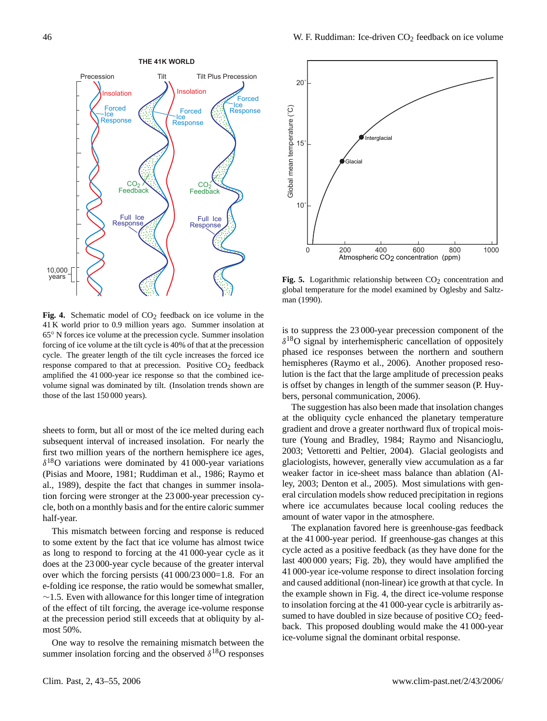

forcing of ice volume at the tilt cycle is 40% of that at the precession Fig. 4. Schematic model of CO<sub>2</sub> feedback on ice volume in the 41 K world prior to 0.9 million years ago. Summer insolation at 65◦ N forces ice volume at the precession cycle. Summer insolation cycle. The greater length of the tilt cycle increases the forced ice response compared to that at precession. Positive  $CO<sub>2</sub>$  feedback amplified the 41 000-year ice response so that the combined icevolume signal was dominated by tilt. (Insolation trends shown are those of the last 150 000 years).

sheets to form, but all or most of the ice melted during each subsequent interval of increased insolation. For nearly the first two million years of the northern hemisphere ice ages,  $\delta^{18}$ O variations were dominated by 41 000-year variations (Pisias and Moore, 1981; Ruddiman et al., 1986; Raymo et al., 1989), despite the fact that changes in summer insolation forcing were stronger at the 23 000-year precession cycle, both on a monthly basis and for the entire caloric summer half-year.

This mismatch between forcing and response is reduced to some extent by the fact that ice volume has almost twice as long to respond to forcing at the 41 000-year cycle as it does at the 23 000-year cycle because of the greater interval over which the forcing persists (41 000/23 000=1.8. For an e-folding ice response, the ratio would be somewhat smaller,  $~\sim$ 1.5. Even with allowance for this longer time of integration of the effect of tilt forcing, the average ice-volume response at the precession period still exceeds that at obliquity by almost 50%.

One way to resolve the remaining mismatch between the summer insolation forcing and the observed  $\delta^{18}$ O responses



 $\frac{1}{2}$ man (1990). Fig. 5. Logarithmic relationship between CO<sub>2</sub> concentration and global temperature for the model examined by Oglesby and Saltz-

is to suppress the 23 000-year precession component of the  $\delta^{18}$ O signal by interhemispheric cancellation of oppositely phased ice responses between the northern and southern hemispheres (Raymo et al., 2006). Another proposed resolution is the fact that the large amplitude of precession peaks is offset by changes in length of the summer season (P. Huybers, personal communication, 2006).

The suggestion has also been made that insolation changes at the obliquity cycle enhanced the planetary temperature gradient and drove a greater northward flux of tropical moisture (Young and Bradley, 1984; Raymo and Nisancioglu, 2003; Vettoretti and Peltier, 2004). Glacial geologists and glaciologists, however, generally view accumulation as a far weaker factor in ice-sheet mass balance than ablation (Alley, 2003; Denton et al., 2005). Most simulations with general circulation models show reduced precipitation in regions where ice accumulates because local cooling reduces the amount of water vapor in the atmosphere.

The explanation favored here is greenhouse-gas feedback at the 41 000-year period. If greenhouse-gas changes at this cycle acted as a positive feedback (as they have done for the last 400 000 years; Fig. 2b), they would have amplified the 41 000-year ice-volume response to direct insolation forcing and caused additional (non-linear) ice growth at that cycle. In the example shown in Fig. 4, the direct ice-volume response to insolation forcing at the 41 000-year cycle is arbitrarily assumed to have doubled in size because of positive  $CO<sub>2</sub>$  feedback. This proposed doubling would make the 41 000-year ice-volume signal the dominant orbital response.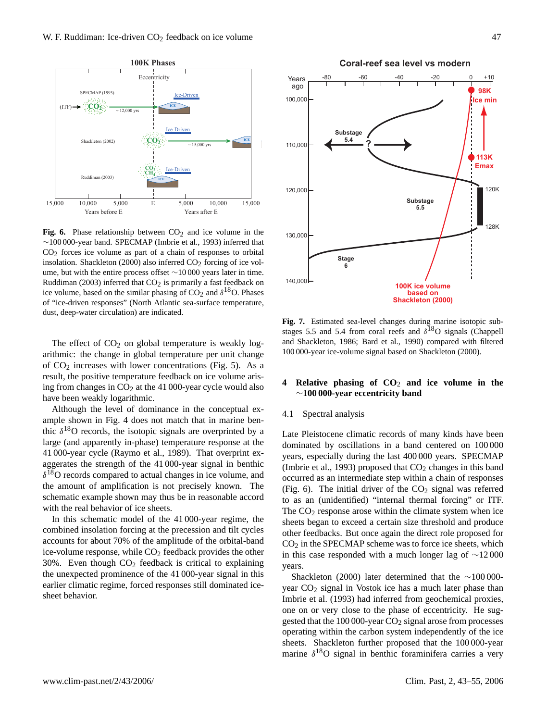

 $~\sim$ 100 000-year band. SPECMAP (Imbrie et al., 1993) inferred that Fig. 6. Phase relationship between  $CO<sub>2</sub>$  and ice volume in the  $CO<sub>2</sub>$  forces ice volume as part of a chain of responses to orbital insolation. Shackleton (2000) also inferred  $CO<sub>2</sub>$  forcing of ice volume, but with the entire process offset ∼10 000 years later in time. Ruddiman (2003) inferred that  $CO<sub>2</sub>$  is primarily a fast feedback on ice volume, based on the similar phasing of  $CO_2$  and  $\delta^{18}O$ . Phases of "ice-driven responses" (North Atlantic sea-surface temperature, dust, deep-water circulation) are indicated.

The effect of  $CO<sub>2</sub>$  on global temperature is weakly logarithmic: the change in global temperature per unit change of  $CO<sub>2</sub>$  increases with lower concentrations (Fig. 5). As a result, the positive temperature feedback on ice volume arising from changes in  $CO<sub>2</sub>$  at the 41 000-year cycle would also have been weakly logarithmic.

Although the level of dominance in the conceptual example shown in Fig. 4 does not match that in marine benthic  $\delta^{18}$ O records, the isotopic signals are overprinted by a large (and apparently in-phase) temperature response at the 41 000-year cycle (Raymo et al., 1989). That overprint exaggerates the strength of the 41 000-year signal in benthic  $\delta^{18}$ O records compared to actual changes in ice volume, and the amount of amplification is not precisely known. The schematic example shown may thus be in reasonable accord with the real behavior of ice sheets.

In this schematic model of the 41 000-year regime, the combined insolation forcing at the precession and tilt cycles accounts for about 70% of the amplitude of the orbital-band ice-volume response, while  $CO<sub>2</sub>$  feedback provides the other 30%. Even though  $CO<sub>2</sub>$  feedback is critical to explaining the unexpected prominence of the 41 000-year signal in this earlier climatic regime, forced responses still dominated icesheet behavior.



stages 5.5 and 5.4 from coral reefs and  $\delta^{18}O$  signals (Chappell **Fig. 7.** Estimated sea-level changes during marine isotopic suband Shackleton, 1986; Bard et al., 1990) compared with filtered 100 000-year ice-volume signal based on Shackleton (2000).

# **4 Relative phasing of CO**<sup>2</sup> **and ice volume in the** ∼**100 000-year eccentricity band**

## 4.1 Spectral analysis

Late Pleistocene climatic records of many kinds have been dominated by oscillations in a band centered on 100 000 years, especially during the last 400 000 years. SPECMAP (Imbrie et al., 1993) proposed that  $CO<sub>2</sub>$  changes in this band occurred as an intermediate step within a chain of responses (Fig. 6). The initial driver of the  $CO<sub>2</sub>$  signal was referred to as an (unidentified) "internal thermal forcing" or ITF. The  $CO<sub>2</sub>$  response arose within the climate system when ice sheets began to exceed a certain size threshold and produce other feedbacks. But once again the direct role proposed for  $CO<sub>2</sub>$  in the SPECMAP scheme was to force ice sheets, which in this case responded with a much longer lag of ∼12 000 years.

Shackleton (2000) later determined that the ∼100 000 year  $CO<sub>2</sub>$  signal in Vostok ice has a much later phase than Imbrie et al. (1993) had inferred from geochemical proxies, one on or very close to the phase of eccentricity. He suggested that the  $100000$ -year  $CO<sub>2</sub>$  signal arose from processes operating within the carbon system independently of the ice sheets. Shackleton further proposed that the 100 000-year marine  $\delta^{18}$ O signal in benthic foraminifera carries a very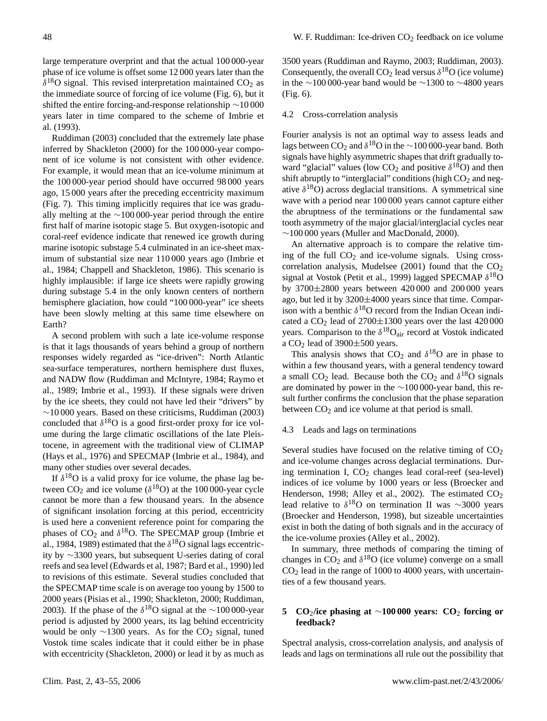large temperature overprint and that the actual 100 000-year phase of ice volume is offset some 12 000 years later than the  $\delta^{18}$ O signal. This revised interpretation maintained CO<sub>2</sub> as the immediate source of forcing of ice volume (Fig. 6), but it shifted the entire forcing-and-response relationship ∼10 000 years later in time compared to the scheme of Imbrie et al. (1993).

Ruddiman (2003) concluded that the extremely late phase inferred by Shackleton (2000) for the 100 000-year component of ice volume is not consistent with other evidence. For example, it would mean that an ice-volume minimum at the 100 000-year period should have occurred 98 000 years ago, 15 000 years after the preceding eccentricity maximum (Fig. 7). This timing implicitly requires that ice was gradually melting at the ∼100 000-year period through the entire first half of marine isotopic stage 5. But oxygen-isotopic and coral-reef evidence indicate that renewed ice growth during marine isotopic substage 5.4 culminated in an ice-sheet maximum of substantial size near 110 000 years ago (Imbrie et al., 1984; Chappell and Shackleton, 1986). This scenario is highly implausible: if large ice sheets were rapidly growing during substage 5.4 in the only known centers of northern hemisphere glaciation, how could "100 000-year" ice sheets have been slowly melting at this same time elsewhere on Earth?

A second problem with such a late ice-volume response is that it lags thousands of years behind a group of northern responses widely regarded as "ice-driven": North Atlantic sea-surface temperatures, northern hemisphere dust fluxes, and NADW flow (Ruddiman and McIntyre, 1984; Raymo et al., 1989; Imbrie et al., 1993). If these signals were driven by the ice sheets, they could not have led their "drivers" by ∼10 000 years. Based on these criticisms, Ruddiman (2003) concluded that  $\delta^{18}O$  is a good first-order proxy for ice volume during the large climatic oscillations of the late Pleistocene, in agreement with the traditional view of CLIMAP (Hays et al., 1976) and SPECMAP (Imbrie et al., 1984), and many other studies over several decades.

If  $\delta^{18}O$  is a valid proxy for ice volume, the phase lag between  $CO_2$  and ice volume ( $\delta^{18}O$ ) at the 100 000-year cycle cannot be more than a few thousand years. In the absence of significant insolation forcing at this period, eccentricity is used here a convenient reference point for comparing the phases of  $CO_2$  and  $\delta^{18}O$ . The SPECMAP group (Imbrie et al., 1984, 1989) estimated that the  $\delta^{18}O$  signal lags eccentricity by ∼3300 years, but subsequent U-series dating of coral reefs and sea level (Edwards et al, 1987; Bard et al., 1990) led to revisions of this estimate. Several studies concluded that the SPECMAP time scale is on average too young by 1500 to 2000 years (Pisias et al., 1990; Shackleton, 2000; Ruddiman, 2003). If the phase of the  $\delta^{18}$ O signal at the ∼100 000-year period is adjusted by 2000 years, its lag behind eccentricity would be only  $\sim$ 1300 years. As for the CO<sub>2</sub> signal, tuned Vostok time scales indicate that it could either be in phase with eccentricity (Shackleton, 2000) or lead it by as much as 3500 years (Ruddiman and Raymo, 2003; Ruddiman, 2003). Consequently, the overall  $CO_2$  lead versus  $\delta^{18}O$  (ice volume) in the ∼100 000-year band would be ∼1300 to ∼4800 years (Fig. 6).

#### 4.2 Cross-correlation analysis

Fourier analysis is not an optimal way to assess leads and lags between CO<sub>2</sub> and  $\delta^{18}$ O in the ∼100 000-year band. Both signals have highly asymmetric shapes that drift gradually toward "glacial" values (low  $CO_2$  and positive  $\delta^{18}O$ ) and then shift abruptly to "interglacial" conditions (high  $CO<sub>2</sub>$  and negative  $\delta^{18}O$ ) across deglacial transitions. A symmetrical sine wave with a period near 100 000 years cannot capture either the abruptness of the terminations or the fundamental saw tooth asymmetry of the major glacial/interglacial cycles near ∼100 000 years (Muller and MacDonald, 2000).

An alternative approach is to compare the relative timing of the full  $CO<sub>2</sub>$  and ice-volume signals. Using crosscorrelation analysis, Mudelsee (2001) found that the  $CO<sub>2</sub>$ signal at Vostok (Petit et al., 1999) lagged SPECMAP  $\delta^{18}$ O by 3700±2800 years between 420 000 and 200 000 years ago, but led it by 3200±4000 years since that time. Comparison with a benthic  $\delta^{18}O$  record from the Indian Ocean indicated a  $CO<sub>2</sub>$  lead of 2700 $\pm$ 1300 years over the last 420 000 years. Comparison to the  $\delta^{18}O_{air}$  record at Vostok indicated a  $CO<sub>2</sub>$  lead of 3900 $\pm$ 500 years.

This analysis shows that  $CO_2$  and  $\delta^{18}O$  are in phase to within a few thousand years, with a general tendency toward a small CO<sub>2</sub> lead. Because both the CO<sub>2</sub> and  $\delta^{18}$ O signals are dominated by power in the ∼100 000-year band, this result further confirms the conclusion that the phase separation between  $CO<sub>2</sub>$  and ice volume at that period is small.

#### 4.3 Leads and lags on terminations

Several studies have focused on the relative timing of  $CO<sub>2</sub>$ and ice-volume changes across deglacial terminations. During termination I,  $CO<sub>2</sub>$  changes lead coral-reef (sea-level) indices of ice volume by 1000 years or less (Broecker and Henderson, 1998; Alley et al., 2002). The estimated CO<sub>2</sub> lead relative to  $\delta^{18}$ O on termination II was ~3000 years (Broecker and Henderson, 1998), but sizeable uncertainties exist in both the dating of both signals and in the accuracy of the ice-volume proxies (Alley et al., 2002).

In summary, three methods of comparing the timing of changes in  $CO_2$  and  $\delta^{18}O$  (ice volume) converge on a small  $CO<sub>2</sub>$  lead in the range of 1000 to 4000 years, with uncertainties of a few thousand years.

# **5 CO**2**/ice phasing at** ∼**100 000 years: CO**<sup>2</sup> **forcing or feedback?**

Spectral analysis, cross-correlation analysis, and analysis of leads and lags on terminations all rule out the possibility that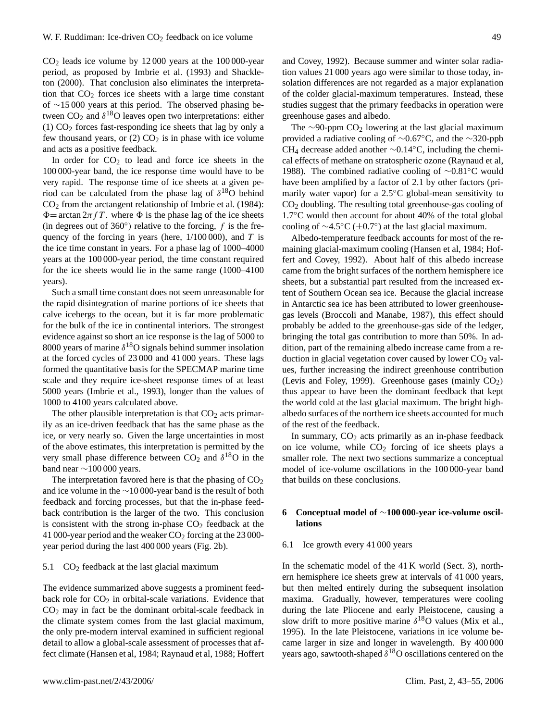$CO<sub>2</sub>$  leads ice volume by  $12000$  years at the  $100000$ -year period, as proposed by Imbrie et al. (1993) and Shackleton (2000). That conclusion also eliminates the interpretation that  $CO<sub>2</sub>$  forces ice sheets with a large time constant of ∼15 000 years at this period. The observed phasing between  $CO_2$  and  $\delta^{18}O$  leaves open two interpretations: either (1)  $CO<sub>2</sub>$  forces fast-responding ice sheets that lag by only a few thousand years, or  $(2)$  CO<sub>2</sub> is in phase with ice volume and acts as a positive feedback.

In order for  $CO<sub>2</sub>$  to lead and force ice sheets in the 100 000-year band, the ice response time would have to be very rapid. The response time of ice sheets at a given period can be calculated from the phase lag of  $\delta^{18}O$  behind  $CO<sub>2</sub>$  from the arctangent relationship of Imbrie et al. (1984):  $\Phi = \arctan 2\pi f T$ . where  $\Phi$  is the phase lag of the ice sheets (in degrees out of 360 $^{\circ}$ ) relative to the forcing, f is the frequency of the forcing in years (here,  $1/100000$ ), and T is the ice time constant in years. For a phase lag of 1000–4000 years at the 100 000-year period, the time constant required for the ice sheets would lie in the same range (1000–4100 years).

Such a small time constant does not seem unreasonable for the rapid disintegration of marine portions of ice sheets that calve icebergs to the ocean, but it is far more problematic for the bulk of the ice in continental interiors. The strongest evidence against so short an ice response is the lag of 5000 to 8000 years of marine  $\delta^{18}$ O signals behind summer insolation at the forced cycles of 23 000 and 41 000 years. These lags formed the quantitative basis for the SPECMAP marine time scale and they require ice-sheet response times of at least 5000 years (Imbrie et al., 1993), longer than the values of 1000 to 4100 years calculated above.

The other plausible interpretation is that  $CO<sub>2</sub>$  acts primarily as an ice-driven feedback that has the same phase as the ice, or very nearly so. Given the large uncertainties in most of the above estimates, this interpretation is permitted by the very small phase difference between  $CO_2$  and  $\delta^{18}O$  in the band near  $\sim$ 100 000 years.

The interpretation favored here is that the phasing of  $CO<sub>2</sub>$ and ice volume in the ∼10 000-year band is the result of both feedback and forcing processes, but that the in-phase feedback contribution is the larger of the two. This conclusion is consistent with the strong in-phase  $CO<sub>2</sub>$  feedback at the 41 000-year period and the weaker  $CO<sub>2</sub>$  forcing at the 23 000year period during the last 400 000 years (Fig. 2b).

## 5.1  $CO<sub>2</sub>$  feedback at the last glacial maximum

The evidence summarized above suggests a prominent feedback role for  $CO<sub>2</sub>$  in orbital-scale variations. Evidence that  $CO<sub>2</sub>$  may in fact be the dominant orbital-scale feedback in the climate system comes from the last glacial maximum, the only pre-modern interval examined in sufficient regional detail to allow a global-scale assessment of processes that affect climate (Hansen et al, 1984; Raynaud et al, 1988; Hoffert and Covey, 1992). Because summer and winter solar radiation values 21 000 years ago were similar to those today, insolation differences are not regarded as a major explanation of the colder glacial-maximum temperatures. Instead, these studies suggest that the primary feedbacks in operation were greenhouse gases and albedo.

The  $\sim$ 90-ppm CO<sub>2</sub> lowering at the last glacial maximum provided a radiative cooling of ∼0.67◦C, and the ∼320-ppb CH<sup>4</sup> decrease added another ∼0.14◦C, including the chemical effects of methane on stratospheric ozone (Raynaud et al, 1988). The combined radiative cooling of ∼0.81◦C would have been amplified by a factor of 2.1 by other factors (primarily water vapor) for a 2.5◦C global-mean sensitivity to  $CO<sub>2</sub>$  doubling. The resulting total greenhouse-gas cooling of 1.7◦C would then account for about 40% of the total global cooling of  $\sim$ 4.5°C ( $\pm$ 0.7°) at the last glacial maximum.

Albedo-temperature feedback accounts for most of the remaining glacial-maximum cooling (Hansen et al, 1984; Hoffert and Covey, 1992). About half of this albedo increase came from the bright surfaces of the northern hemisphere ice sheets, but a substantial part resulted from the increased extent of Southern Ocean sea ice. Because the glacial increase in Antarctic sea ice has been attributed to lower greenhousegas levels (Broccoli and Manabe, 1987), this effect should probably be added to the greenhouse-gas side of the ledger, bringing the total gas contribution to more than 50%. In addition, part of the remaining albedo increase came from a reduction in glacial vegetation cover caused by lower  $CO<sub>2</sub>$  values, further increasing the indirect greenhouse contribution (Levis and Foley, 1999). Greenhouse gases (mainly  $CO<sub>2</sub>$ ) thus appear to have been the dominant feedback that kept the world cold at the last glacial maximum. The bright highalbedo surfaces of the northern ice sheets accounted for much of the rest of the feedback.

In summary,  $CO<sub>2</sub>$  acts primarily as an in-phase feedback on ice volume, while  $CO<sub>2</sub>$  forcing of ice sheets plays a smaller role. The next two sections summarize a conceptual model of ice-volume oscillations in the 100 000-year band that builds on these conclusions.

# **6 Conceptual model of** ∼**100 000-year ice-volume oscillations**

#### 6.1 Ice growth every 41 000 years

In the schematic model of the 41 K world (Sect. 3), northern hemisphere ice sheets grew at intervals of 41 000 years, but then melted entirely during the subsequent insolation maxima. Gradually, however, temperatures were cooling during the late Pliocene and early Pleistocene, causing a slow drift to more positive marine  $\delta^{18}$ O values (Mix et al., 1995). In the late Pleistocene, variations in ice volume became larger in size and longer in wavelength. By 400 000 years ago, sawtooth-shaped  $\delta^{18}$ O oscillations centered on the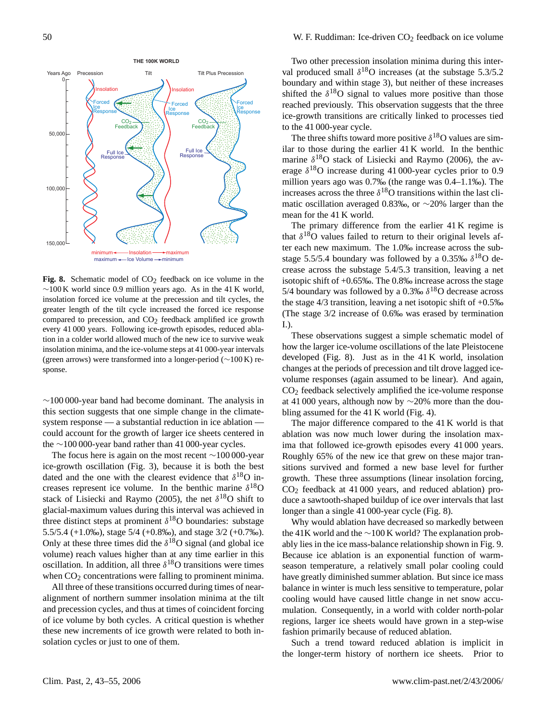### Insolation **Insolation** Forced Ice Response minimum — Insolation — maximum<br>maximum — Ice Volume — minimum Years Ago Precession Tilt Tilt Plus Precession **THE 100K WORLD**  $CO<sub>2</sub>$ <br>Feedback  $CO<sub>2</sub>$ <br>Feedback Full Ice Response Full Ice Response Forced Ice Response Forced Ice Response 0 50,000 100,000  $150,000$

**Fig. 8.** Schematic model of  $CO<sub>2</sub>$  feedback on ice volume in the  $∼100$  K world since 0.9 million years ago. As in the 41 K world, insolation forced ice volume at the precession and tilt cycles, the greater length of the tilt cycle increased the forced ice response compared to precession, and  $CO<sub>2</sub>$  feedback amplified ice growth every 41 000 years. Following ice-growth episodes, reduced ablation in a colder world allowed much of the new ice to survive weak insolation minima, and the ice-volume steps at 41 000-year intervals (green arrows) were transformed into a longer-period (∼100 K) response.

 $~\sim$ 100 000-year band had become dominant. The analysis in this section suggests that one simple change in the climatesystem response — a substantial reduction in ice ablation could account for the growth of larger ice sheets centered in the ∼100 000-year band rather than 41 000-year cycles.

The focus here is again on the most recent ∼100 000-year ice-growth oscillation (Fig. 3), because it is both the best dated and the one with the clearest evidence that  $\delta^{18}O$  increases represent ice volume. In the benthic marine  $\delta^{18}$ O stack of Lisiecki and Raymo (2005), the net  $\delta^{18}O$  shift to glacial-maximum values during this interval was achieved in three distinct steps at prominent  $\delta^{18}$ O boundaries: substage 5.5/5.4 (+1.0‰), stage 5/4 (+0.8‰), and stage 3/2 (+0.7‰). Only at these three times did the  $\delta^{18}$ O signal (and global ice volume) reach values higher than at any time earlier in this oscillation. In addition, all three  $\delta^{18}$ O transitions were times when  $CO<sub>2</sub>$  concentrations were falling to prominent minima.

All three of these transitions occurred during times of nearalignment of northern summer insolation minima at the tilt and precession cycles, and thus at times of coincident forcing of ice volume by both cycles. A critical question is whether these new increments of ice growth were related to both insolation cycles or just to one of them.

Two other precession insolation minima during this interval produced small  $\delta^{18}$ O increases (at the substage 5.3/5.2 boundary and within stage 3), but neither of these increases shifted the  $\delta^{18}$ O signal to values more positive than those reached previously. This observation suggests that the three ice-growth transitions are critically linked to processes tied to the 41 000-year cycle.

The three shifts toward more positive  $\delta^{18}$ O values are similar to those during the earlier 41 K world. In the benthic marine  $\delta^{18}$ O stack of Lisiecki and Raymo (2006), the average  $\delta^{18}$ O increase during 41 000-year cycles prior to 0.9 million years ago was 0.7‰ (the range was 0.4–1.1‰). The increases across the three  $\delta^{18}$ O transitions within the last climatic oscillation averaged 0.83‰, or ∼20% larger than the mean for the 41 K world.

The primary difference from the earlier 41 K regime is that  $\delta^{18}$ O values failed to return to their original levels after each new maximum. The 1.0‰ increase across the substage 5.5/5.4 boundary was followed by a 0.35‰  $\delta^{18}O$  decrease across the substage 5.4/5.3 transition, leaving a net isotopic shift of +0.65‰. The 0.8‰ increase across the stage 5/4 boundary was followed by a 0.3‰  $\delta^{18}$ O decrease across the stage 4/3 transition, leaving a net isotopic shift of +0.5‰ (The stage 3/2 increase of 0.6‰ was erased by termination I.).

These observations suggest a simple schematic model of how the larger ice-volume oscillations of the late Pleistocene developed (Fig. 8). Just as in the 41 K world, insolation changes at the periods of precession and tilt drove lagged icevolume responses (again assumed to be linear). And again,  $CO<sub>2</sub>$  feedback selectively amplified the ice-volume response at 41 000 years, although now by ∼20% more than the doubling assumed for the 41 K world (Fig. 4).

The major difference compared to the 41 K world is that ablation was now much lower during the insolation maxima that followed ice-growth episodes every 41 000 years. Roughly 65% of the new ice that grew on these major transitions survived and formed a new base level for further growth. These three assumptions (linear insolation forcing, CO<sup>2</sup> feedback at 41 000 years, and reduced ablation) produce a sawtooth-shaped buildup of ice over intervals that last longer than a single 41 000-year cycle (Fig. 8).

Why would ablation have decreased so markedly between the 41K world and the ∼100 K world? The explanation probably lies in the ice mass-balance relationship shown in Fig. 9. Because ice ablation is an exponential function of warmseason temperature, a relatively small polar cooling could have greatly diminished summer ablation. But since ice mass balance in winter is much less sensitive to temperature, polar cooling would have caused little change in net snow accumulation. Consequently, in a world with colder north-polar regions, larger ice sheets would have grown in a step-wise fashion primarily because of reduced ablation.

Such a trend toward reduced ablation is implicit in the longer-term history of northern ice sheets. Prior to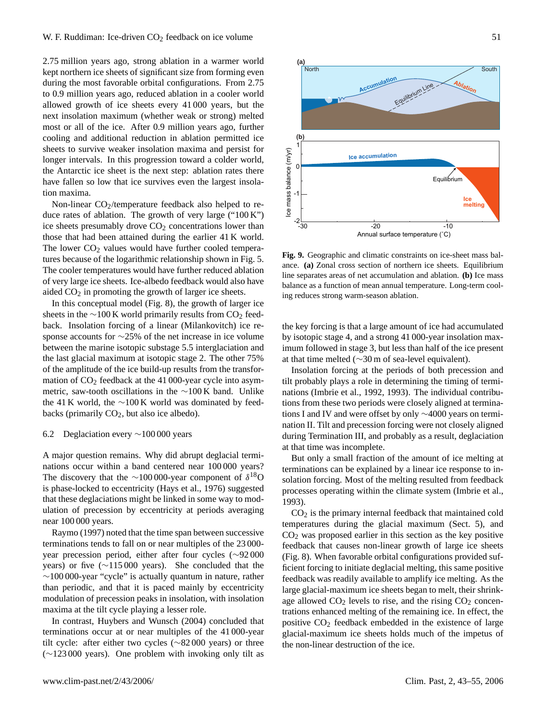2.75 million years ago, strong ablation in a warmer world kept northern ice sheets of significant size from forming even during the most favorable orbital configurations. From 2.75 to 0.9 million years ago, reduced ablation in a cooler world allowed growth of ice sheets every 41 000 years, but the next insolation maximum (whether weak or strong) melted most or all of the ice. After 0.9 million years ago, further cooling and additional reduction in ablation permitted ice sheets to survive weaker insolation maxima and persist for longer intervals. In this progression toward a colder world, the Antarctic ice sheet is the next step: ablation rates there have fallen so low that ice survives even the largest insolation maxima.

Non-linear  $CO_2$ /temperature feedback also helped to reduce rates of ablation. The growth of very large ("100 K") ice sheets presumably drove  $CO<sub>2</sub>$  concentrations lower than those that had been attained during the earlier 41 K world. The lower  $CO<sub>2</sub>$  values would have further cooled temperatures because of the logarithmic relationship shown in Fig. 5. The cooler temperatures would have further reduced ablation of very large ice sheets. Ice-albedo feedback would also have aided  $CO<sub>2</sub>$  in promoting the growth of larger ice sheets.

In this conceptual model (Fig. 8), the growth of larger ice sheets in the  $\sim$ 100 K world primarily results from CO<sub>2</sub> feedback. Insolation forcing of a linear (Milankovitch) ice response accounts for ∼25% of the net increase in ice volume between the marine isotopic substage 5.5 interglaciation and the last glacial maximum at isotopic stage 2. The other 75% of the amplitude of the ice build-up results from the transformation of  $CO<sub>2</sub>$  feedback at the 41 000-year cycle into asymmetric, saw-tooth oscillations in the ∼100 K band. Unlike the 41 K world, the ∼100 K world was dominated by feedbacks (primarily  $CO<sub>2</sub>$ , but also ice albedo).

## 6.2 Deglaciation every ∼100 000 years

A major question remains. Why did abrupt deglacial terminations occur within a band centered near 100 000 years? The discovery that the ∼100 000-year component of  $\delta^{18}O$ is phase-locked to eccentricity (Hays et al., 1976) suggested that these deglaciations might be linked in some way to modulation of precession by eccentricity at periods averaging near 100 000 years.

Raymo (1997) noted that the time span between successive terminations tends to fall on or near multiples of the 23 000 year precession period, either after four cycles (∼92 000 years) or five (∼115 000 years). She concluded that the ∼100 000-year "cycle" is actually quantum in nature, rather than periodic, and that it is paced mainly by eccentricity modulation of precession peaks in insolation, with insolation maxima at the tilt cycle playing a lesser role.

In contrast, Huybers and Wunsch (2004) concluded that terminations occur at or near multiples of the 41 000-year tilt cycle: after either two cycles (∼82 000 years) or three (∼123 000 years). One problem with invoking only tilt as



Fig. 9 **Fig. 9.** Geographic and climatic constraints on ice-sheet mass balance. **(a)** Zonal cross section of northern ice sheets. Equilibrium line separates areas of net accumulation and ablation. **(b)** Ice mass balance as a function of mean annual temperature. Long-term cooling reduces strong warm-season ablation.

the key forcing is that a large amount of ice had accumulated by isotopic stage 4, and a strong 41 000-year insolation maximum followed in stage 3, but less than half of the ice present at that time melted (∼30 m of sea-level equivalent).

Insolation forcing at the periods of both precession and tilt probably plays a role in determining the timing of terminations (Imbrie et al., 1992, 1993). The individual contributions from these two periods were closely aligned at terminations I and IV and were offset by only ∼4000 years on termination II. Tilt and precession forcing were not closely aligned during Termination III, and probably as a result, deglaciation at that time was incomplete.

But only a small fraction of the amount of ice melting at terminations can be explained by a linear ice response to insolation forcing. Most of the melting resulted from feedback processes operating within the climate system (Imbrie et al., 1993).

 $CO<sub>2</sub>$  is the primary internal feedback that maintained cold temperatures during the glacial maximum (Sect. 5), and  $CO<sub>2</sub>$  was proposed earlier in this section as the key positive feedback that causes non-linear growth of large ice sheets (Fig. 8). When favorable orbital configurations provided sufficient forcing to initiate deglacial melting, this same positive feedback was readily available to amplify ice melting. As the large glacial-maximum ice sheets began to melt, their shrinkage allowed  $CO<sub>2</sub>$  levels to rise, and the rising  $CO<sub>2</sub>$  concentrations enhanced melting of the remaining ice. In effect, the positive  $CO<sub>2</sub>$  feedback embedded in the existence of large glacial-maximum ice sheets holds much of the impetus of the non-linear destruction of the ice.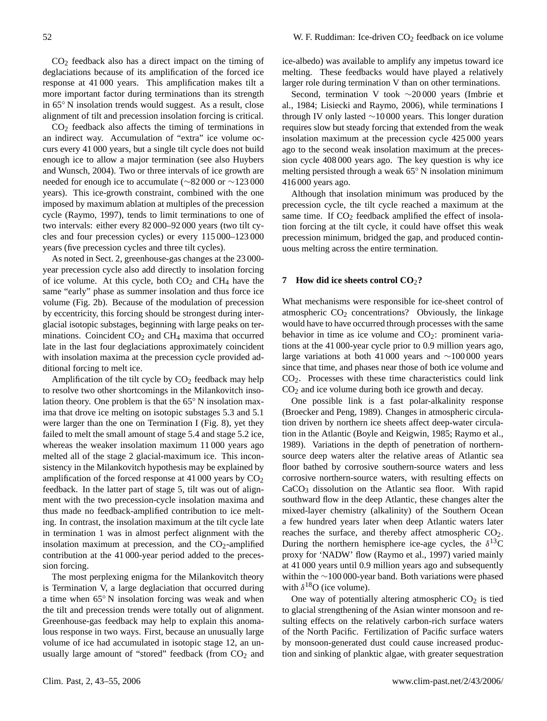$CO<sub>2</sub>$  feedback also has a direct impact on the timing of deglaciations because of its amplification of the forced ice response at 41 000 years. This amplification makes tilt a more important factor during terminations than its strength in 65◦ N insolation trends would suggest. As a result, close alignment of tilt and precession insolation forcing is critical.

 $CO<sub>2</sub>$  feedback also affects the timing of terminations in an indirect way. Accumulation of "extra" ice volume occurs every 41 000 years, but a single tilt cycle does not build enough ice to allow a major termination (see also Huybers and Wunsch, 2004). Two or three intervals of ice growth are needed for enough ice to accumulate (∼82 000 or ∼123 000 years). This ice-growth constraint, combined with the one imposed by maximum ablation at multiples of the precession cycle (Raymo, 1997), tends to limit terminations to one of two intervals: either every 82 000–92 000 years (two tilt cycles and four precession cycles) or every 115 000–123 000 years (five precession cycles and three tilt cycles).

As noted in Sect. 2, greenhouse-gas changes at the 23 000 year precession cycle also add directly to insolation forcing of ice volume. At this cycle, both  $CO<sub>2</sub>$  and  $CH<sub>4</sub>$  have the same "early" phase as summer insolation and thus force ice volume (Fig. 2b). Because of the modulation of precession by eccentricity, this forcing should be strongest during interglacial isotopic substages, beginning with large peaks on terminations. Coincident  $CO<sub>2</sub>$  and  $CH<sub>4</sub>$  maxima that occurred late in the last four deglaciations approximately coincident with insolation maxima at the precession cycle provided additional forcing to melt ice.

Amplification of the tilt cycle by  $CO<sub>2</sub>$  feedback may help to resolve two other shortcomings in the Milankovitch insolation theory. One problem is that the 65◦ N insolation maxima that drove ice melting on isotopic substages 5.3 and 5.1 were larger than the one on Termination I (Fig. 8), yet they failed to melt the small amount of stage 5.4 and stage 5.2 ice, whereas the weaker insolation maximum 11 000 years ago melted all of the stage 2 glacial-maximum ice. This inconsistency in the Milankovitch hypothesis may be explained by amplification of the forced response at  $41\,000$  years by  $CO<sub>2</sub>$ feedback. In the latter part of stage 5, tilt was out of alignment with the two precession-cycle insolation maxima and thus made no feedback-amplified contribution to ice melting. In contrast, the insolation maximum at the tilt cycle late in termination 1 was in almost perfect alignment with the insolation maximum at precession, and the  $CO<sub>2</sub>$ -amplified contribution at the 41 000-year period added to the precession forcing.

The most perplexing enigma for the Milankovitch theory is Termination V, a large deglaciation that occurred during a time when 65◦ N insolation forcing was weak and when the tilt and precession trends were totally out of alignment. Greenhouse-gas feedback may help to explain this anomalous response in two ways. First, because an unusually large volume of ice had accumulated in isotopic stage 12, an unusually large amount of "stored" feedback (from CO<sub>2</sub> and ice-albedo) was available to amplify any impetus toward ice melting. These feedbacks would have played a relatively larger role during termination V than on other terminations.

Second, termination V took ∼20 000 years (Imbrie et al., 1984; Lisiecki and Raymo, 2006), while terminations I through IV only lasted ∼10 000 years. This longer duration requires slow but steady forcing that extended from the weak insolation maximum at the precession cycle 425 000 years ago to the second weak insolation maximum at the precession cycle 408 000 years ago. The key question is why ice melting persisted through a weak 65◦ N insolation minimum 416 000 years ago.

Although that insolation minimum was produced by the precession cycle, the tilt cycle reached a maximum at the same time. If  $CO<sub>2</sub>$  feedback amplified the effect of insolation forcing at the tilt cycle, it could have offset this weak precession minimum, bridged the gap, and produced continuous melting across the entire termination.

#### **7 How did ice sheets control CO**2**?**

What mechanisms were responsible for ice-sheet control of atmospheric  $CO<sub>2</sub>$  concentrations? Obviously, the linkage would have to have occurred through processes with the same behavior in time as ice volume and  $CO<sub>2</sub>$ : prominent variations at the 41 000-year cycle prior to 0.9 million years ago, large variations at both 41 000 years and ∼100 000 years since that time, and phases near those of both ice volume and  $CO<sub>2</sub>$ . Processes with these time characteristics could link  $CO<sub>2</sub>$  and ice volume during both ice growth and decay.

One possible link is a fast polar-alkalinity response (Broecker and Peng, 1989). Changes in atmospheric circulation driven by northern ice sheets affect deep-water circulation in the Atlantic (Boyle and Keigwin, 1985; Raymo et al., 1989). Variations in the depth of penetration of northernsource deep waters alter the relative areas of Atlantic sea floor bathed by corrosive southern-source waters and less corrosive northern-source waters, with resulting effects on CaCO<sup>3</sup> dissolution on the Atlantic sea floor. With rapid southward flow in the deep Atlantic, these changes alter the mixed-layer chemistry (alkalinity) of the Southern Ocean a few hundred years later when deep Atlantic waters later reaches the surface, and thereby affect atmospheric CO<sub>2</sub>. During the northern hemisphere ice-age cycles, the  $\delta^{13}$ C proxy for 'NADW' flow (Raymo et al., 1997) varied mainly at 41 000 years until 0.9 million years ago and subsequently within the ∼100 000-year band. Both variations were phased with  $\delta^{18}O$  (ice volume).

One way of potentially altering atmospheric  $CO<sub>2</sub>$  is tied to glacial strengthening of the Asian winter monsoon and resulting effects on the relatively carbon-rich surface waters of the North Pacific. Fertilization of Pacific surface waters by monsoon-generated dust could cause increased production and sinking of planktic algae, with greater sequestration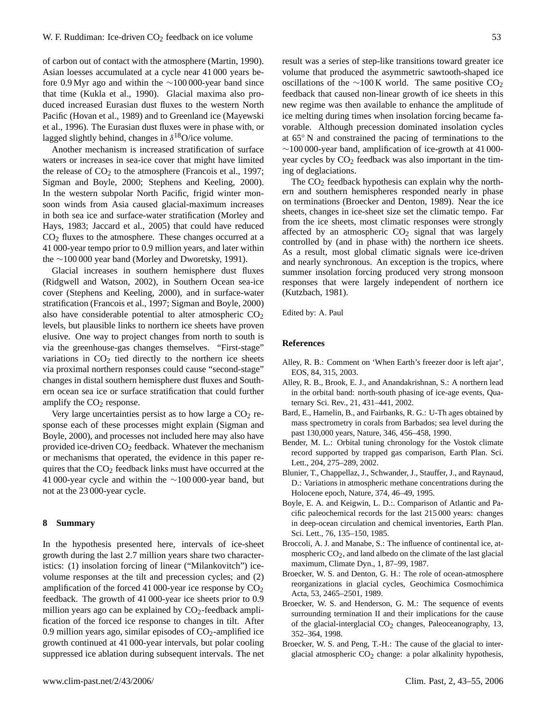of carbon out of contact with the atmosphere (Martin, 1990). Asian loesses accumulated at a cycle near 41 000 years before 0.9 Myr ago and within the ∼100 000-year band since that time (Kukla et al., 1990). Glacial maxima also produced increased Eurasian dust fluxes to the western North Pacific (Hovan et al., 1989) and to Greenland ice (Mayewski et al., 1996). The Eurasian dust fluxes were in phase with, or lagged slightly behind, changes in  $\delta^{18}O$ /ice volume.

Another mechanism is increased stratification of surface waters or increases in sea-ice cover that might have limited the release of  $CO<sub>2</sub>$  to the atmosphere (Francois et al., 1997; Sigman and Boyle, 2000; Stephens and Keeling, 2000). In the western subpolar North Pacific, frigid winter monsoon winds from Asia caused glacial-maximum increases in both sea ice and surface-water stratification (Morley and Hays, 1983; Jaccard et al., 2005) that could have reduced  $CO<sub>2</sub>$  fluxes to the atmosphere. These changes occurred at a 41 000-year tempo prior to 0.9 million years, and later within the ∼100 000 year band (Morley and Dworetsky, 1991).

Glacial increases in southern hemisphere dust fluxes (Ridgwell and Watson, 2002), in Southern Ocean sea-ice cover (Stephens and Keeling, 2000), and in surface-water stratification (Francois et al., 1997; Sigman and Boyle, 2000) also have considerable potential to alter atmospheric  $CO<sub>2</sub>$ levels, but plausible links to northern ice sheets have proven elusive. One way to project changes from north to south is via the greenhouse-gas changes themselves. "First-stage" variations in  $CO<sub>2</sub>$  tied directly to the northern ice sheets via proximal northern responses could cause "second-stage" changes in distal southern hemisphere dust fluxes and Southern ocean sea ice or surface stratification that could further amplify the  $CO<sub>2</sub>$  response.

Very large uncertainties persist as to how large a  $CO<sub>2</sub>$  response each of these processes might explain (Sigman and Boyle, 2000), and processes not included here may also have provided ice-driven  $CO<sub>2</sub>$  feedback. Whatever the mechanism or mechanisms that operated, the evidence in this paper requires that the  $CO<sub>2</sub>$  feedback links must have occurred at the 41 000-year cycle and within the ∼100 000-year band, but not at the 23 000-year cycle.

#### **8 Summary**

In the hypothesis presented here, intervals of ice-sheet growth during the last 2.7 million years share two characteristics: (1) insolation forcing of linear ("Milankovitch") icevolume responses at the tilt and precession cycles; and (2) amplification of the forced 41 000-year ice response by  $CO<sub>2</sub>$ feedback. The growth of 41 000-year ice sheets prior to 0.9 million years ago can be explained by  $CO<sub>2</sub>$ -feedback amplification of the forced ice response to changes in tilt. After 0.9 million years ago, similar episodes of  $CO<sub>2</sub>$ -amplified ice growth continued at 41 000-year intervals, but polar cooling suppressed ice ablation during subsequent intervals. The net result was a series of step-like transitions toward greater ice volume that produced the asymmetric sawtooth-shaped ice oscillations of the ∼100 K world. The same positive  $CO<sub>2</sub>$ feedback that caused non-linear growth of ice sheets in this new regime was then available to enhance the amplitude of ice melting during times when insolation forcing became favorable. Although precession dominated insolation cycles at 65◦ N and constrained the pacing of terminations to the  $\sim$ 100 000-year band, amplification of ice-growth at 41 000year cycles by  $CO<sub>2</sub>$  feedback was also important in the timing of deglaciations.

The  $CO<sub>2</sub>$  feedback hypothesis can explain why the northern and southern hemispheres responded nearly in phase on terminations (Broecker and Denton, 1989). Near the ice sheets, changes in ice-sheet size set the climatic tempo. Far from the ice sheets, most climatic responses were strongly affected by an atmospheric  $CO<sub>2</sub>$  signal that was largely controlled by (and in phase with) the northern ice sheets. As a result, most global climatic signals were ice-driven and nearly synchronous. An exception is the tropics, where summer insolation forcing produced very strong monsoon responses that were largely independent of northern ice (Kutzbach, 1981).

Edited by: A. Paul

## **References**

- Alley, R. B.: Comment on 'When Earth's freezer door is left ajar', EOS, 84, 315, 2003.
- Alley, R. B., Brook, E. J., and Anandakrishnan, S.: A northern lead in the orbital band: north-south phasing of ice-age events, Quaternary Sci. Rev., 21, 431–441, 2002.
- Bard, E., Hamelin, B., and Fairbanks, R. G.: U-Th ages obtained by mass spectrometry in corals from Barbados; sea level during the past 130,000 years, Nature, 346, 456–458, 1990.
- Bender, M. L.: Orbital tuning chronology for the Vostok climate record supported by trapped gas comparison, Earth Plan. Sci. Lett., 204, 275–289, 2002.
- Blunier, T., Chappellaz, J., Schwander, J., Stauffer, J., and Raynaud, D.: Variations in atmospheric methane concentrations during the Holocene epoch, Nature, 374, 46–49, 1995.
- Boyle, E. A. and Keigwin, L. D.:. Comparison of Atlantic and Pacific paleochemical records for the last 215 000 years: changes in deep-ocean circulation and chemical inventories, Earth Plan. Sci. Lett., 76, 135–150, 1985.
- Broccoli, A. J. and Manabe, S.: The influence of continental ice, atmospheric  $CO<sub>2</sub>$ , and land albedo on the climate of the last glacial maximum, Climate Dyn., 1, 87–99, 1987.
- Broecker, W. S. and Denton, G. H.: The role of ocean-atmosphere reorganizations in glacial cycles, Geochimica Cosmochimica Acta, 53, 2465–2501, 1989.
- Broecker, W. S. and Henderson, G. M.: The sequence of events surrounding termination II and their implications for the cause of the glacial-interglacial  $CO<sub>2</sub>$  changes, Paleoceanography, 13, 352–364, 1998.
- Broecker, W. S. and Peng, T.-H.: The cause of the glacial to interglacial atmospheric CO<sub>2</sub> change: a polar alkalinity hypothesis,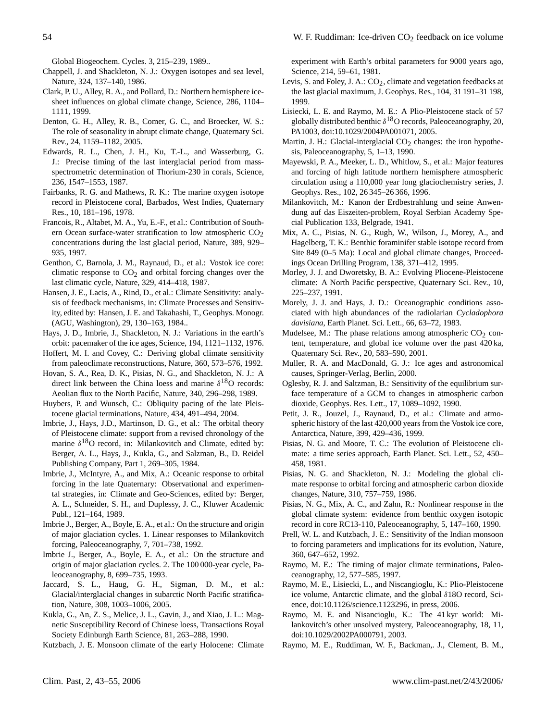Global Biogeochem. Cycles. 3, 215–239, 1989..

- Chappell, J. and Shackleton, N. J.: Oxygen isotopes and sea level, Nature, 324, 137–140, 1986.
- Clark, P. U., Alley, R. A., and Pollard, D.: Northern hemisphere icesheet influences on global climate change, Science, 286, 1104– 1111, 1999.
- Denton, G. H., Alley, R. B., Comer, G. C., and Broecker, W. S.: The role of seasonality in abrupt climate change, Quaternary Sci. Rev., 24, 1159–1182, 2005.
- Edwards, R. L., Chen, J. H., Ku, T.-L., and Wasserburg, G. J.: Precise timing of the last interglacial period from massspectrometric determination of Thorium-230 in corals, Science, 236, 1547–1553, 1987.
- Fairbanks, R. G. and Mathews, R. K.: The marine oxygen isotope record in Pleistocene coral, Barbados, West Indies, Quaternary Res., 10, 181–196, 1978.
- Francois, R., Altabet, M. A., Yu, E.-F., et al.: Contribution of Southern Ocean surface-water stratification to low atmospheric  $CO<sub>2</sub>$ concentrations during the last glacial period, Nature, 389, 929– 935, 1997.
- Genthon, C, Barnola, J. M., Raynaud, D., et al.: Vostok ice core: climatic response to  $CO<sub>2</sub>$  and orbital forcing changes over the last climatic cycle, Nature, 329, 414–418, 1987.
- Hansen, J. E., Lacis, A., Rind, D., et al.: Climate Sensitivity: analysis of feedback mechanisms, in: Climate Processes and Sensitivity, edited by: Hansen, J. E. and Takahashi, T., Geophys. Monogr. (AGU, Washington), 29, 130–163, 1984..
- Hays, J. D., Imbrie, J., Shackleton, N. J.: Variations in the earth's orbit: pacemaker of the ice ages, Science, 194, 1121–1132, 1976.
- Hoffert, M. I. and Covey, C.: Deriving global climate sensitivity from paleoclimate reconstructions, Nature, 360, 573–576, 1992.
- Hovan, S. A., Rea, D. K., Pisias, N. G., and Shackleton, N. J.: A direct link between the China loess and marine  $\delta^{18}O$  records: Aeolian flux to the North Pacific, Nature, 340, 296–298, 1989.
- Huybers, P. and Wunsch, C.: Obliquity pacing of the late Pleistocene glacial terminations, Nature, 434, 491–494, 2004.
- Imbrie, J., Hays, J.D., Martinson, D. G., et al.: The orbital theory of Pleistocene climate: support from a revised chronology of the marine  $\delta^{18}O$  record, in: Milankovitch and Climate, edited by: Berger, A. L., Hays, J., Kukla, G., and Salzman, B., D. Reidel Publishing Company, Part 1, 269–305, 1984.
- Imbrie, J., McIntyre, A., and Mix, A.: Oceanic response to orbital forcing in the late Quaternary: Observational and experimental strategies, in: Climate and Geo-Sciences, edited by: Berger, A. L., Schneider, S. H., and Duplessy, J. C., Kluwer Academic Publ., 121–164, 1989.
- Imbrie J., Berger, A., Boyle, E. A., et al.: On the structure and origin of major glaciation cycles. 1. Linear responses to Milankovitch forcing, Paleoceanography, 7, 701–738, 1992.
- Imbrie J., Berger, A., Boyle, E. A., et al.: On the structure and origin of major glaciation cycles. 2. The 100 000-year cycle, Paleoceanography, 8, 699–735, 1993.
- Jaccard, S. L., Haug, G. H., Sigman, D. M., et al.: Glacial/interglacial changes in subarctic North Pacific stratification, Nature, 308, 1003–1006, 2005.
- Kukla, G., An, Z. S., Melice, J. L., Gavin, J., and Xiao, J. L.: Magnetic Susceptibility Record of Chinese loess, Transactions Royal Society Edinburgh Earth Science, 81, 263–288, 1990.

Kutzbach, J. E. Monsoon climate of the early Holocene: Climate

experiment with Earth's orbital parameters for 9000 years ago, Science, 214, 59–61, 1981.

- Levis, S. and Foley, J. A.:  $CO<sub>2</sub>$ , climate and vegetation feedbacks at the last glacial maximum, J. Geophys. Res., 104, 31 191–31 198, 1999.
- Lisiecki, L. E. and Raymo, M. E.: A Plio-Pleistocene stack of 57 globally distributed benthic  $\delta^{18}$ O records, Paleoceanography, 20, PA1003, doi:10.1029/2004PA001071, 2005.
- Martin, J. H.: Glacial-interglacial  $CO<sub>2</sub>$  changes: the iron hypothesis, Paleoceanography, 5, 1–13, 1990.
- Mayewski, P. A., Meeker, L. D., Whitlow, S., et al.: Major features and forcing of high latitude northern hemisphere atmospheric circulation using a 110,000 year long glaciochemistry series, J. Geophys. Res., 102, 26 345–26 366, 1996.
- Milankovitch, M.: Kanon der Erdbestrahlung und seine Anwendung auf das Eiszeiten-problem, Royal Serbian Academy Special Publication 133, Belgrade, 1941.
- Mix, A. C., Pisias, N. G., Rugh, W., Wilson, J., Morey, A., and Hagelberg, T. K.: Benthic foraminifer stable isotope record from Site 849 (0–5 Ma): Local and global climate changes, Proceedings Ocean Drilling Program, 138, 371–412, 1995.
- Morley, J. J. and Dworetsky, B. A.: Evolving Pliocene-Pleistocene climate: A North Pacific perspective, Quaternary Sci. Rev., 10, 225–237, 1991.
- Morely, J. J. and Hays, J. D.: Oceanographic conditions associated with high abundances of the radiolarian *Cycladophora davisiana*, Earth Planet. Sci. Lett., 66, 63–72, 1983.
- Mudelsee, M.: The phase relations among atmospheric  $CO<sub>2</sub>$  content, temperature, and global ice volume over the past 420 ka, Quaternary Sci. Rev., 20, 583–590, 2001.
- Muller, R. A. and MacDonald, G. J.: Ice ages and astronomical causes, Springer-Verlag, Berlin, 2000.
- Oglesby, R. J. and Saltzman, B.: Sensitivity of the equilibrium surface temperature of a GCM to changes in atmospheric carbon dioxide, Geophys. Res. Lett., 17, 1089–1092, 1990.
- Petit, J. R., Jouzel, J., Raynaud, D., et al.: Climate and atmospheric history of the last 420,000 years from the Vostok ice core, Antarctica, Nature, 399, 429–436, 1999.
- Pisias, N. G. and Moore, T. C.: The evolution of Pleistocene climate: a time series approach, Earth Planet. Sci. Lett., 52, 450– 458, 1981.
- Pisias, N. G. and Shackleton, N. J.: Modeling the global climate response to orbital forcing and atmospheric carbon dioxide changes, Nature, 310, 757–759, 1986.
- Pisias, N. G., Mix, A. C., and Zahn, R.: Nonlinear response in the global climate system: evidence from benthic oxygen isotopic record in core RC13-110, Paleoceanography, 5, 147–160, 1990.
- Prell, W. L. and Kutzbach, J. E.: Sensitivity of the Indian monsoon to forcing parameters and implications for its evolution, Nature, 360, 647–652, 1992.
- Raymo, M. E.: The timing of major climate terminations, Paleoceanography, 12, 577–585, 1997.
- Raymo, M. E., Lisiecki, L., and Niscangioglu, K.: Plio-Pleistocene ice volume, Antarctic climate, and the global δ18O record, Science, doi:10.1126/science.1123296, in press, 2006.
- Raymo, M. E. and Nisancioglu, K.: The 41 kyr world: Milankovitch's other unsolved mystery, Paleoceanography, 18, 11, doi:10.1029/2002PA000791, 2003.
- Raymo, M. E., Ruddiman, W. F., Backman,. J., Clement, B. M.,